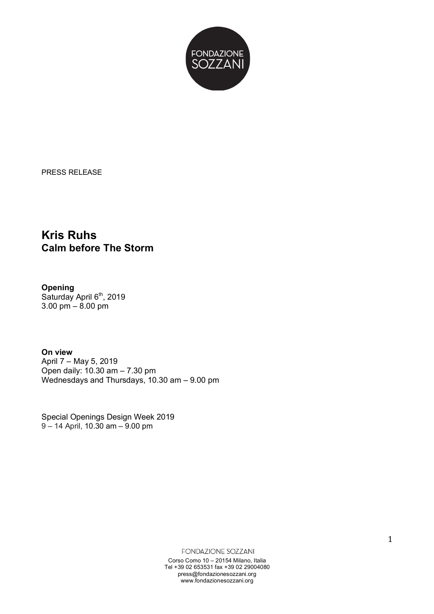

PRESS RELEASE

## **Kris Ruhs Calm before The Storm**

**Opening** Saturday April 6<sup>th</sup>, 2019 3.00 pm – 8.00 pm

**On view** April 7 – May 5, 2019 Open daily: 10.30 am – 7.30 pm Wednesdays and Thursdays, 10.30 am – 9.00 pm

Special Openings Design Week 2019 9 – 14 April, 10.30 am – 9.00 pm

FONDAZIONE SOZZANI

Corso Como 10 – 20154 Milano, Italia Tel +39 02 653531 fax +39 02 29004080 press@fondazionesozzani.org www.fondazionesozzani.org